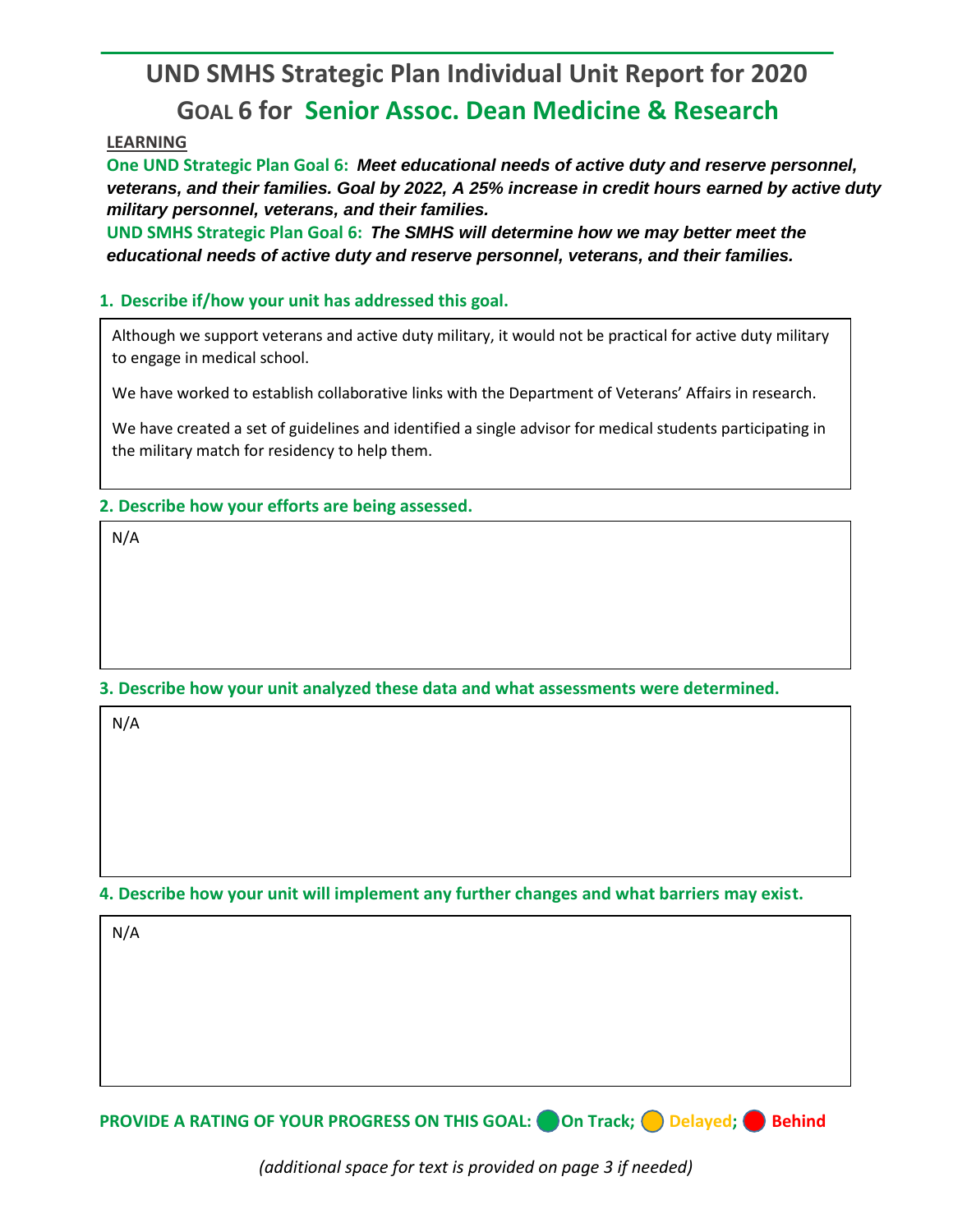# **UND SMHS Strategic Plan Individual Unit Report for 2020 GOAL 6 for Senior Assoc. Dean Medicine & Research**

## **LEARNING**

**One UND Strategic Plan Goal 6:** *Meet educational needs of active duty and reserve personnel, veterans, and their families. Goal by 2022, A 25% increase in credit hours earned by active duty military personnel, veterans, and their families.*

**UND SMHS Strategic Plan Goal 6:** *The SMHS will determine how we may better meet the educational needs of active duty and reserve personnel, veterans, and their families.*

#### **1. Describe if/how your unit has addressed this goal.**

Although we support veterans and active duty military, it would not be practical for active duty military to engage in medical school.

We have worked to establish collaborative links with the Department of Veterans' Affairs in research.

We have created a set of guidelines and identified a single advisor for medical students participating in the military match for residency to help them.

#### **2. Describe how your efforts are being assessed.**

N/A

## **3. Describe how your unit analyzed these data and what assessments were determined.**

N/A

# **4. Describe how your unit will implement any further changes and what barriers may exist.**

N/A

**PROVIDE A RATING OF YOUR PROGRESS ON THIS GOAL:** On Track; Delayed; Behind

*(additional space for text is provided on page 3 if needed)*